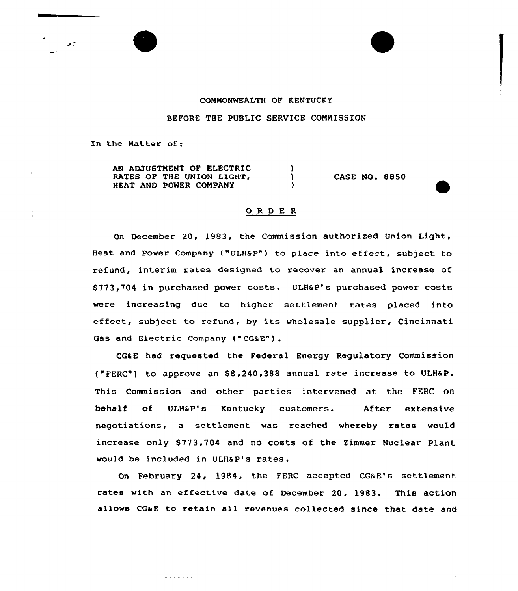

## COMMONWEALTH OF KENTUCKY

BEFORE THE PUBLIC SERVICE COMMISSION

In the Natter of:

AN ADJUSTMENT OF ELECTRIC RATES OF THE UNION LIGHT, HEAT AND POWER CONPANY

والمتحدث والمتاري المداعيات المتصاصصيت

CASE NO. 8850

## 0 R <sup>D</sup> E R

 $\lambda$  $\mathbf{r}$ 

On December 20, 1983, the Commission authorized Union Light, Heat and Power Company ("ULHaP") to place into effect, subject to refund, interim rates designed to recover an annual increase of \$773,704 in purchased power costs. ULHaP's purchased power costs were increasing due to higher settlement rates placed into effect, subject to refund, by its wholesale supplier, Cincinnati Gas and Electric Company ("CGaE") .

CGaE had requested the Federal Energy Regulatory Commission ("FERC") to approve an \$8,240,388 annual rate increase to ULH6 P. This Commission and other parties intervened at the FERC on behalf of ULHaP's Kentucky customers. After extensive negotiations, a settlement was reached whereby rates would increase only \$773,704 and no costs of the Zimmer Nuclear Plant would be included in ULHSP's rates.

On February 24, 1984, the FERC accepted CG&E's settlement rates with an effective date of December 20, 1983. This action allows CGaE to retain all revenues collected since that date and